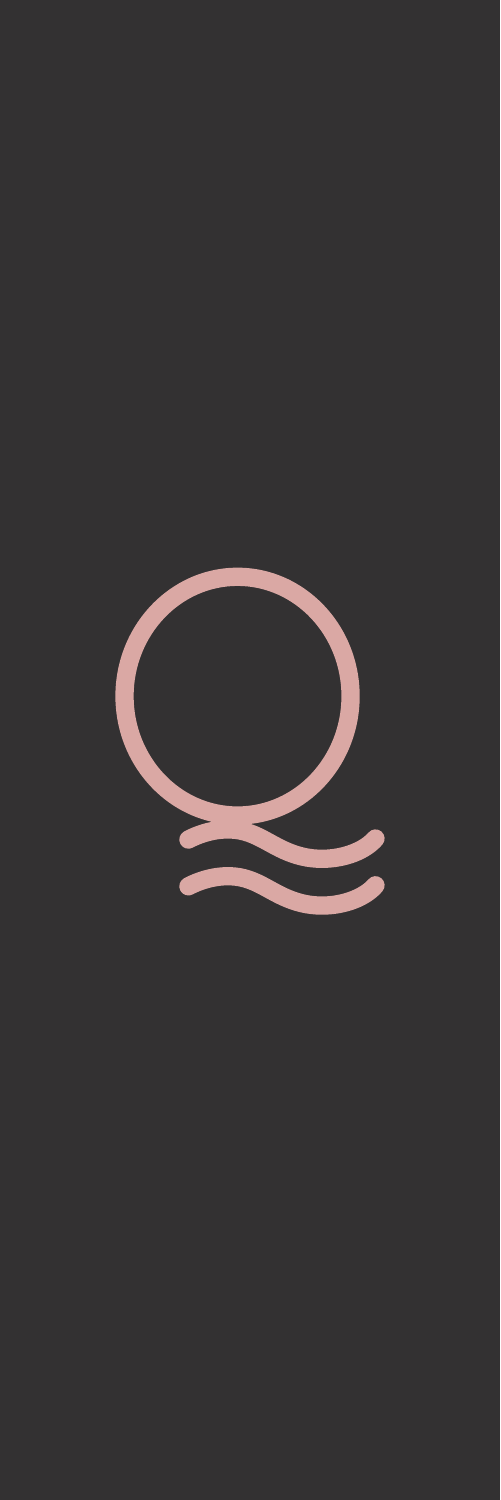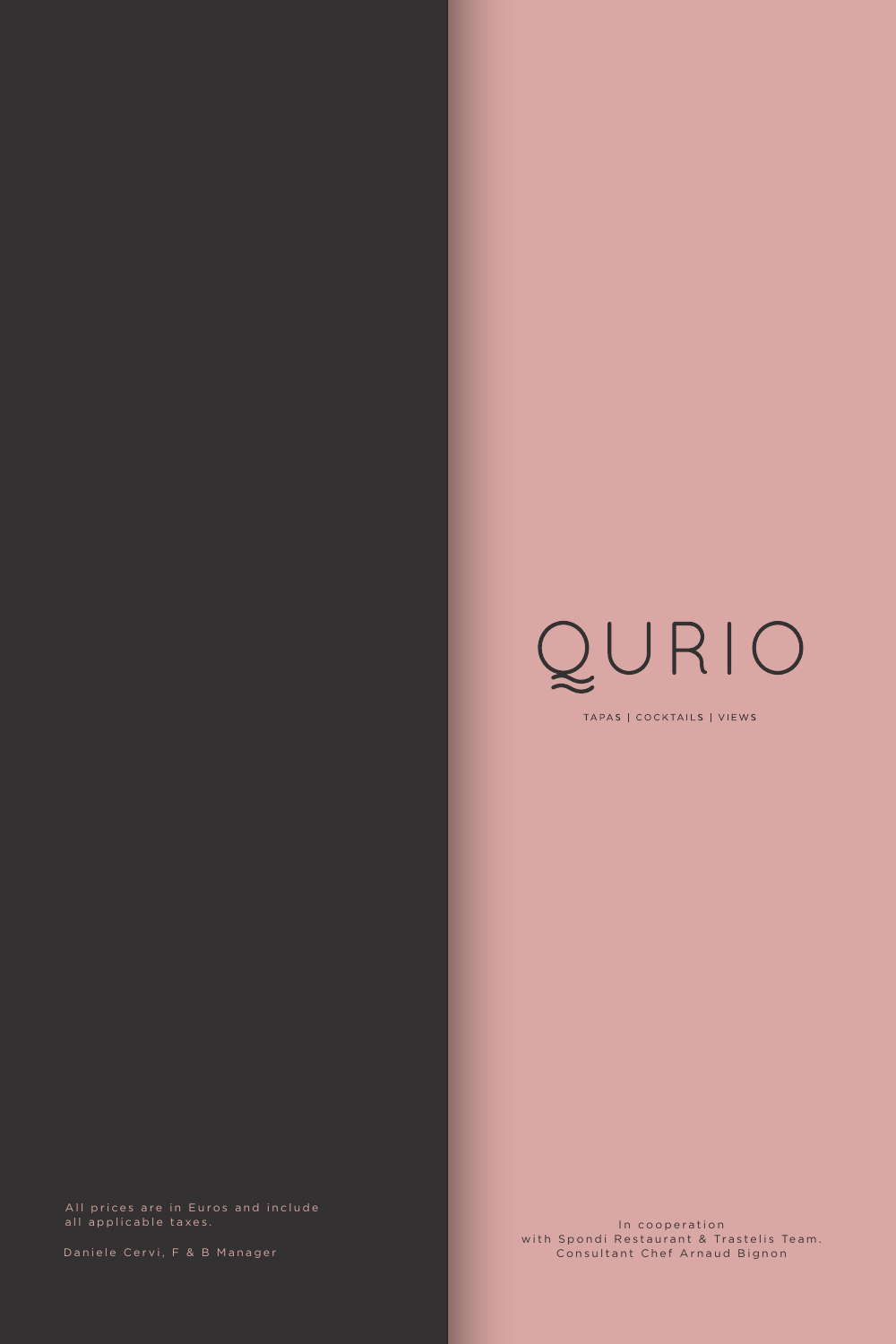

TAPAS | COCKTAILS | VIEWS

All prices are in Euros and include all applicable taxes.

In cooperation with Spondi Restaurant & Trastelis Team. Consultant Chef Arnaud Bignon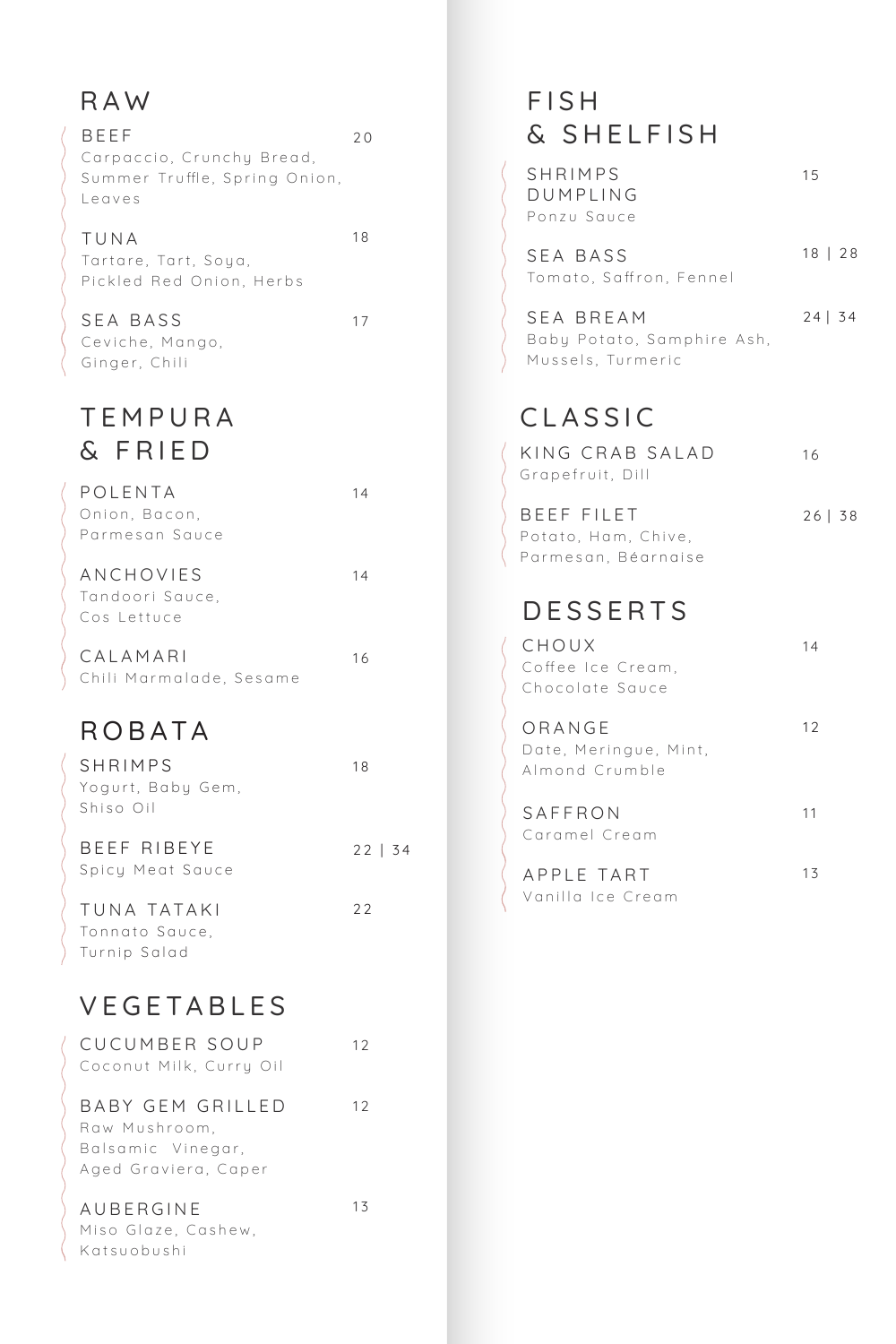## RAW

| <b>BFFF</b>                   | 20 |
|-------------------------------|----|
| Carpaccio, Crunchy Bread,     |    |
| Summer Truffle, Spring Onion, |    |
| Leaves                        |    |
|                               |    |

1 8

1 7

TUNA Tartare, Tart, Soya, Pickled Red Onion, Herbs

SEA BASS Ceviche, Mango, Ginger, Chili

TEMPURA & FRIED

| POLENTA<br>Onion, Bacon,<br>Parmesan Sauce  | 14 |
|---------------------------------------------|----|
| ANCHOVIES<br>Tandoori Sauce.<br>Cos Lettuce | 14 |
| CALAMARI                                    | 16 |

| CALAMARI                |  |
|-------------------------|--|
| Chili Marmalade, Sesame |  |

## ROBATA

| <b>SHRIMPS</b><br>Yogurt, Baby Gem,<br>Shiso Oil | 18      |
|--------------------------------------------------|---------|
| BFFF RIBFYF<br>Spicy Meat Sauce                  | 22   34 |
| TUNA TATAKI<br>Tonnato Sauce,<br>Turnip Salad    | 22      |

## VEGETABLES

| CUCUMBER SOUP<br>Coconut Milk, Curry Oil                                       | 12 |
|--------------------------------------------------------------------------------|----|
| BABY GFM GRILLED<br>Raw Mushroom,<br>Balsamic Vinegar,<br>Aged Graviera, Caper | 12 |
| AUBFRGINF<br>Miso Glaze, Cashew,<br>Katsuobushi                                | 13 |

## FISH & SHELFISH

| SHRIMPS<br>DUMPIING<br>Ponzu Squce                           | 15      |
|--------------------------------------------------------------|---------|
| SFA BASS<br>Tomato, Saffron, Fennel                          | 18   28 |
| SFA BRFAM<br>Baby Potato, Samphire Ash,<br>Mussels, Turmeric | 24   34 |
| CLASSIC                                                      |         |

KING CRAB SALAD Grapefruit, Dill 1 6

2 6 | 38

BEEF FILET Potato, Ham, Chive, Parmesan, Béarnaise

# DESSERTS

| CHOUX                                             |    |
|---------------------------------------------------|----|
| Coffee Ice Cream,                                 |    |
| Chocolate Sauce                                   |    |
| ORANGE<br>Date, Meringue, Mint,<br>Almond Crumble | 12 |
| SAFFRON<br>Caramel Cream                          | 11 |
| APPIF TART<br>Vanilla Ice Cream                   | 13 |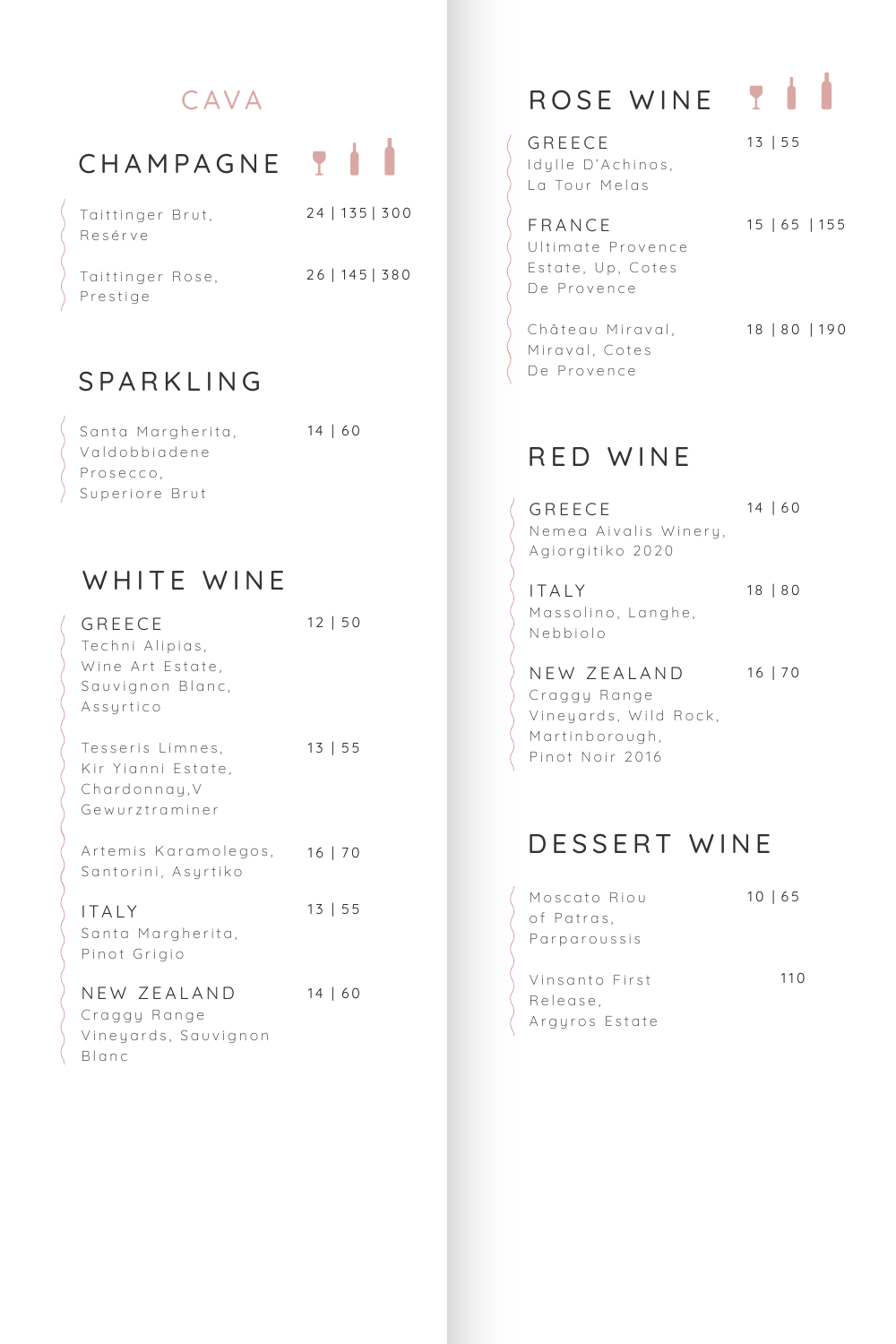## CAVA

# CHAMPAGNE T

| Taittinger Brut.<br>Resérve  | 24   135   300 |
|------------------------------|----------------|
| Taittinger Rose,<br>Prestige | 26   145   380 |

## SPARKLING

| Santa Margherita, | 14   60 |
|-------------------|---------|
| Valdobbiadene     |         |
| Prosecco,         |         |
| Superiore Brut    |         |

#### WHITE WINE

| <b>GREECE</b><br>Techni Alipias,<br>Wine Art Estate,<br>Sauvignon Blanc,<br>Assyrtico | 12   50   |
|---------------------------------------------------------------------------------------|-----------|
| Tesseris Limnes,<br>Kir Yianni Estate,<br>Chardonnay, V<br>Gewurztraminer             | 13   55   |
| Artemis Karamolegos,<br>Santorini, Asyrtiko                                           | $16$   70 |
| <b>ITALY</b><br>Santa Margherita,<br>Pinot Grigio                                     | 13   55   |
| NEW ZEALAND<br>Craggy Range<br>Vineyards, Sauvignon                                   | 14   60   |

Blanc

# ROSE WINE T

GREECE 13 | 55 Idylle D'Achinos, La Tour Melas

15 | 65 | 155

FRANCE Ultimate Provence Estate, Up, Cotes De Provence

1 8 | 8 0 | 190 Château Miraval, Miraval, Cotes De Provence

## RED WINE

GREECE Nemea Aivalis Winery, Agiorgitiko 2020  $14 | 60$ 

ITALY Massolino, Langhe, Nebbiolo 18 | 80

NEW ZEALAND 16 | 70 Craggy Range Vineyards, Wild Rock, Martinborough, Pinot Noir 2016

### DESSERT WINE

| Moscato Riou   | 10   65 |
|----------------|---------|
| of Patras.     |         |
| Parparoussis   |         |
|                |         |
| Vinsanto First | 110     |
| Release,       |         |
| Argyros Estate |         |
|                |         |